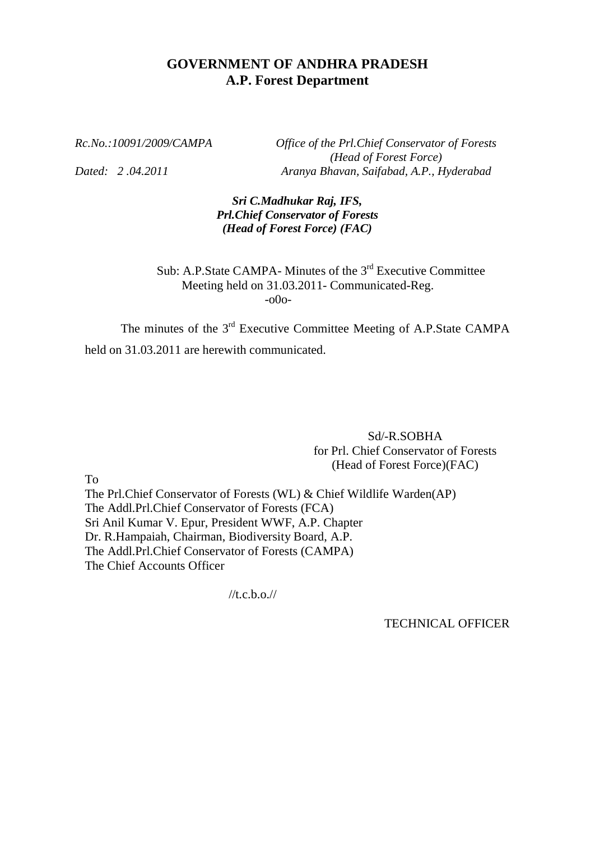### **GOVERNMENT OF ANDHRA PRADESH A.P. Forest Department**

*Rc.No.:10091/2009/CAMPA Office of the Prl.Chief Conservator of Forests (Head of Forest Force) Dated: 2 .04.2011 Aranya Bhavan, Saifabad, A.P., Hyderabad*

> *Sri C.Madhukar Raj, IFS, Prl.Chief Conservator of Forests (Head of Forest Force) (FAC)*

Sub: A.P. State CAMPA- Minutes of the 3<sup>rd</sup> Executive Committee Meeting held on 31.03.2011- Communicated-Reg. -o0o-

The minutes of the 3<sup>rd</sup> Executive Committee Meeting of A.P.State CAMPA held on 31.03.2011 are herewith communicated.

> Sd/-R.SOBHA for Prl. Chief Conservator of Forests (Head of Forest Force)(FAC)

To

The Prl.Chief Conservator of Forests (WL) & Chief Wildlife Warden(AP) The Addl.Prl.Chief Conservator of Forests (FCA) Sri Anil Kumar V. Epur, President WWF, A.P. Chapter Dr. R.Hampaiah, Chairman, Biodiversity Board, A.P. The Addl.Prl.Chief Conservator of Forests (CAMPA) The Chief Accounts Officer

 $//t.c.b.o.$ 

TECHNICAL OFFICER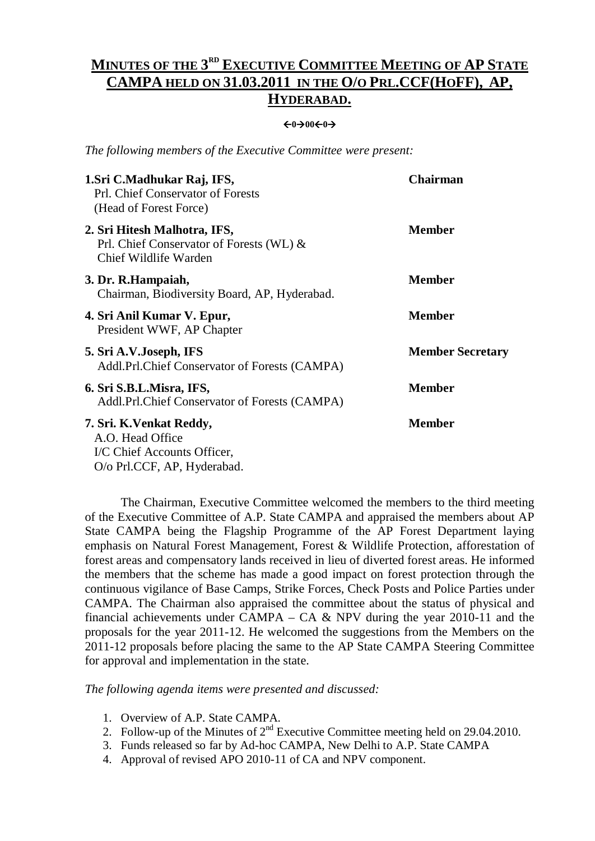### **MINUTES OF THE 3 RD EXECUTIVE COMMITTEE MEETING OF AP STATE CAMPA HELD ON 31.03.2011 IN THE O/O PRL.CCF(HOFF), AP, HYDERABAD.**

#### $\leftarrow 0 \rightarrow 00 \leftarrow 0 \rightarrow 0$

*The following members of the Executive Committee were present:*

| 1. Sri C. Madhukar Raj, IFS,<br>Prl. Chief Conservator of Forests<br>(Head of Forest Force)                | <b>Chairman</b>         |
|------------------------------------------------------------------------------------------------------------|-------------------------|
| 2. Sri Hitesh Malhotra, IFS,<br>Prl. Chief Conservator of Forests (WL) &<br>Chief Wildlife Warden          | <b>Member</b>           |
| 3. Dr. R. Hampaiah,<br>Chairman, Biodiversity Board, AP, Hyderabad.                                        | <b>Member</b>           |
| 4. Sri Anil Kumar V. Epur,<br>President WWF, AP Chapter                                                    | <b>Member</b>           |
| 5. Sri A.V.Joseph, IFS<br>Addl.Prl.Chief Conservator of Forests (CAMPA)                                    | <b>Member Secretary</b> |
| 6. Sri S.B.L.Misra, IFS,<br>Addl.Prl.Chief Conservator of Forests (CAMPA)                                  | <b>Member</b>           |
| 7. Sri. K. Venkat Reddy,<br>A.O. Head Office<br>I/C Chief Accounts Officer,<br>O/o Prl.CCF, AP, Hyderabad. | <b>Member</b>           |

The Chairman, Executive Committee welcomed the members to the third meeting of the Executive Committee of A.P. State CAMPA and appraised the members about AP State CAMPA being the Flagship Programme of the AP Forest Department laying emphasis on Natural Forest Management, Forest & Wildlife Protection, afforestation of forest areas and compensatory lands received in lieu of diverted forest areas. He informed the members that the scheme has made a good impact on forest protection through the continuous vigilance of Base Camps, Strike Forces, Check Posts and Police Parties under CAMPA. The Chairman also appraised the committee about the status of physical and financial achievements under CAMPA – CA  $& NPV$  during the year 2010-11 and the proposals for the year 2011-12. He welcomed the suggestions from the Members on the 2011-12 proposals before placing the same to the AP State CAMPA Steering Committee for approval and implementation in the state.

*The following agenda items were presented and discussed:*

- 1. Overview of A.P. State CAMPA.
- 2. Follow-up of the Minutes of  $2<sup>nd</sup>$  Executive Committee meeting held on 29.04.2010.
- 3. Funds released so far by Ad-hoc CAMPA, New Delhi to A.P. State CAMPA
- 4. Approval of revised APO 2010-11 of CA and NPV component.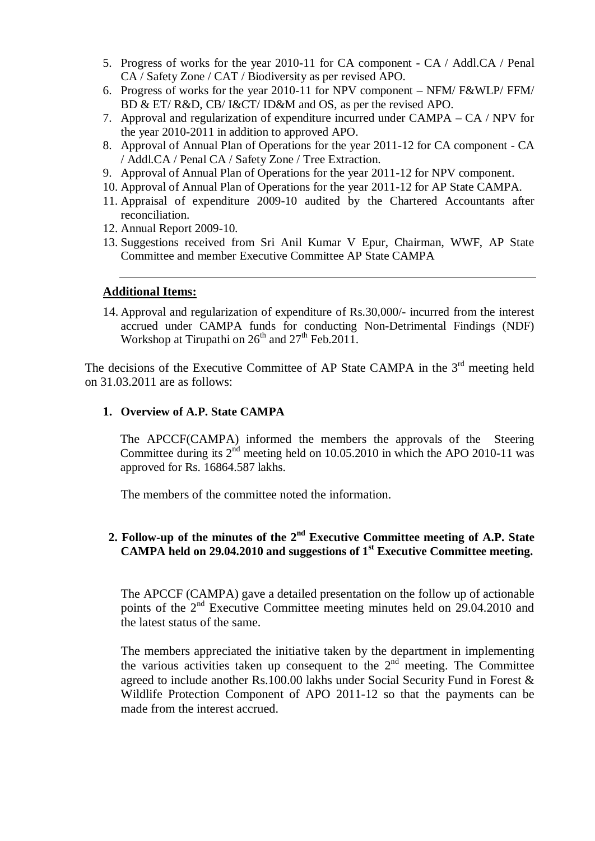- 5. Progress of works for the year 2010-11 for CA component CA / Addl.CA / Penal CA / Safety Zone / CAT / Biodiversity as per revised APO.
- 6. Progress of works for the year 2010-11 for NPV component NFM/ F&WLP/ FFM/ BD & ET/ R&D, CB/ I&CT/ ID&M and OS, as per the revised APO.
- 7. Approval and regularization of expenditure incurred under CAMPA CA / NPV for the year 2010-2011 in addition to approved APO.
- 8. Approval of Annual Plan of Operations for the year 2011-12 for CA component CA / Addl.CA / Penal CA / Safety Zone / Tree Extraction.
- 9. Approval of Annual Plan of Operations for the year 2011-12 for NPV component.
- 10. Approval of Annual Plan of Operations for the year 2011-12 for AP State CAMPA.
- 11. Appraisal of expenditure 2009-10 audited by the Chartered Accountants after reconciliation.
- 12. Annual Report 2009-10.
- 13. Suggestions received from Sri Anil Kumar V Epur, Chairman, WWF, AP State Committee and member Executive Committee AP State CAMPA

#### **Additional Items:**

14. Approval and regularization of expenditure of Rs.30,000/- incurred from the interest accrued under CAMPA funds for conducting Non-Detrimental Findings (NDF) Workshop at Tirupathi on  $26<sup>th</sup>$  and  $27<sup>th</sup>$  Feb.2011.

The decisions of the Executive Committee of AP State CAMPA in the 3<sup>rd</sup> meeting held on 31.03.2011 are as follows:

#### **1. Overview of A.P. State CAMPA**

The APCCF(CAMPA) informed the members the approvals of the Steering Committee during its  $2<sup>nd</sup>$  meeting held on 10.05.2010 in which the APO 2010-11 was approved for Rs. 16864.587 lakhs.

The members of the committee noted the information.

### 2. Follow-up of the minutes of the 2<sup>nd</sup> Executive Committee meeting of A.P. State **CAMPA held on 29.04.2010 and suggestions of 1st Executive Committee meeting.**

The APCCF (CAMPA) gave a detailed presentation on the follow up of actionable points of the 2<sup>nd</sup> Executive Committee meeting minutes held on 29.04.2010 and the latest status of the same.

The members appreciated the initiative taken by the department in implementing the various activities taken up consequent to the  $2<sup>nd</sup>$  meeting. The Committee agreed to include another Rs.100.00 lakhs under Social Security Fund in Forest & Wildlife Protection Component of APO 2011-12 so that the payments can be made from the interest accrued.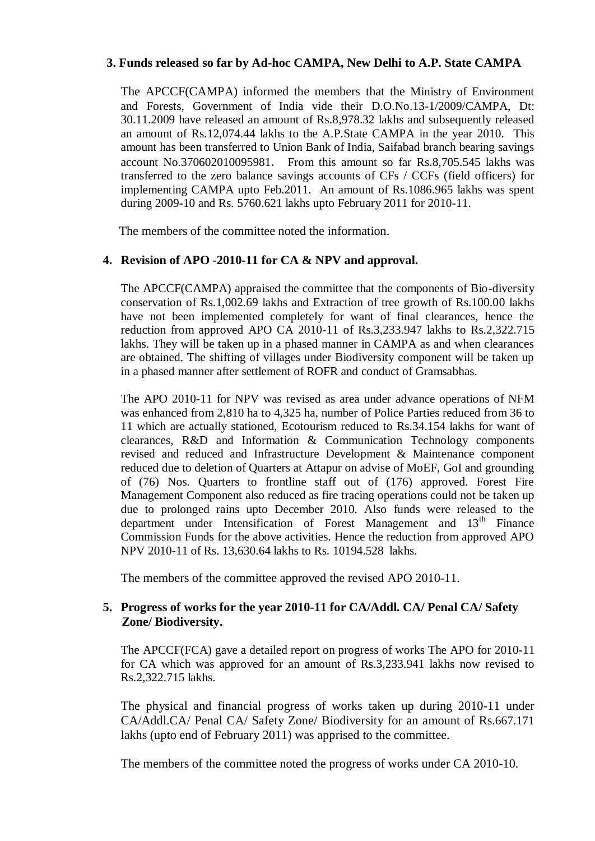### **3. Funds released so far by Ad-hoc CAMPA, New Delhi to A.P. State CAMPA**

The APCCF(CAMPA) informed the members that the Ministry of Environment and Forests, Government of India vide their D.O.No.13-1/2009/CAMPA, Dt: 30.11.2009 have released an amount of Rs.8,978.32 lakhs and subsequently released an amount of Rs.12,074.44 lakhs to the A.P.State CAMPA in the year 2010. This amount has been transferred to Union Bank of India, Saifabad branch bearing savings account No.370602010095981. From this amount so far Rs.8,705.545 lakhs was transferred to the zero balance savings accounts of CFs / CCFs (field officers) for implementing CAMPA upto Feb.2011. An amount of Rs.1086.965 lakhs was spent during 2009-10 and Rs. 5760.621 lakhs upto February 2011 for 2010-11.

The members of the committee noted the information.

### **4. Revision of APO -2010-11 for CA & NPV and approval.**

The APCCF(CAMPA) appraised the committee that the components of Bio-diversity conservation of Rs.1,002.69 lakhs and Extraction of tree growth of Rs.100.00 lakhs have not been implemented completely for want of final clearances, hence the reduction from approved APO CA 2010-11 of Rs.3,233.947 lakhs to Rs.2,322.715 lakhs. They will be taken up in a phased manner in CAMPA as and when clearances are obtained. The shifting of villages under Biodiversity component will be taken up in a phased manner after settlement of ROFR and conduct of Gramsabhas.

The APO 2010-11 for NPV was revised as area under advance operations of NFM was enhanced from 2,810 ha to 4,325 ha, number of Police Parties reduced from 36 to 11 which are actually stationed, Ecotourism reduced to Rs.34.154 lakhs for want of clearances, R&D and Information & Communication Technology components revised and reduced and Infrastructure Development & Maintenance component reduced due to deletion of Quarters at Attapur on advise of MoEF, GoI and grounding of (76) Nos. Quarters to frontline staff out of (176) approved. Forest Fire Management Component also reduced as fire tracing operations could not be taken up due to prolonged rains upto December 2010. Also funds were released to the department under Intensification of Forest Management and 13<sup>th</sup> Finance Commission Funds for the above activities. Hence the reduction from approved APO NPV 2010-11 of Rs. 13,630.64 lakhs to Rs. 10194.528lakhs.

The members of the committee approved the revised APO 2010-11.

### **5. Progress of works for the year 2010-11 for CA/Addl. CA/ Penal CA/ Safety Zone/ Biodiversity.**

The APCCF(FCA) gave a detailed report on progress of works The APO for 2010-11 for CA which was approved for an amount of Rs.3,233.941 lakhs now revised to Rs.2,322.715 lakhs.

The physical and financial progress of works taken up during 2010-11 under CA/Addl.CA/ Penal CA/ Safety Zone/ Biodiversity for an amount of Rs.667.171 lakhs (upto end of February 2011) was apprised to the committee.

The members of the committee noted the progress of works under CA 2010-10.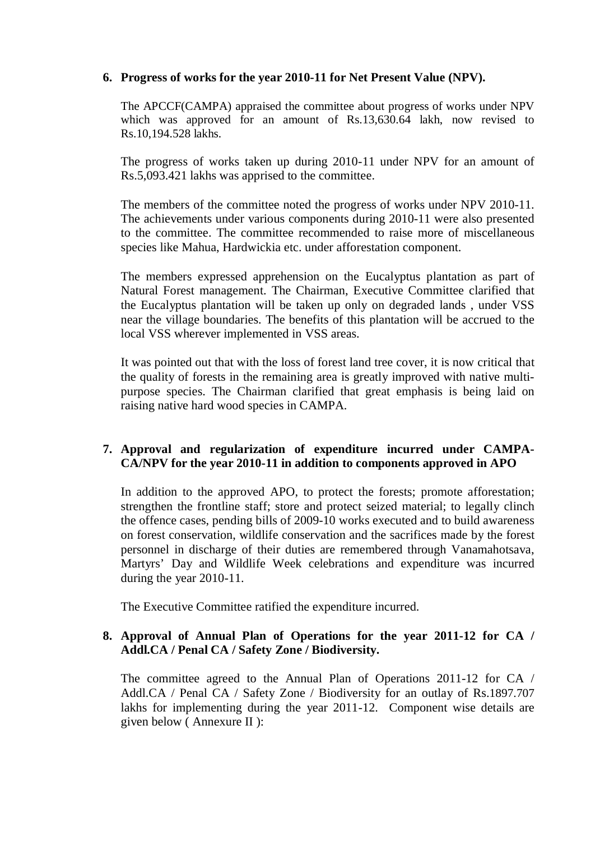### **6. Progress of works for the year 2010-11 for Net Present Value (NPV).**

The APCCF(CAMPA) appraised the committee about progress of works under NPV which was approved for an amount of Rs.13,630.64 lakh, now revised to Rs.10,194.528 lakhs.

The progress of works taken up during 2010-11 under NPV for an amount of Rs.5,093.421 lakhs was apprised to the committee.

The members of the committee noted the progress of works under NPV 2010-11. The achievements under various components during 2010-11 were also presented to the committee. The committee recommended to raise more of miscellaneous species like Mahua, Hardwickia etc. under afforestation component.

The members expressed apprehension on the Eucalyptus plantation as part of Natural Forest management. The Chairman, Executive Committee clarified that the Eucalyptus plantation will be taken up only on degraded lands , under VSS near the village boundaries. The benefits of this plantation will be accrued to the local VSS wherever implemented in VSS areas.

It was pointed out that with the loss of forest land tree cover, it is now critical that the quality of forests in the remaining area is greatly improved with native multipurpose species. The Chairman clarified that great emphasis is being laid on raising native hard wood species in CAMPA.

### **7. Approval and regularization of expenditure incurred under CAMPA-CA/NPV for the year 2010-11 in addition to components approved in APO**

In addition to the approved APO, to protect the forests; promote afforestation; strengthen the frontline staff; store and protect seized material; to legally clinch the offence cases, pending bills of 2009-10 works executed and to build awareness on forest conservation, wildlife conservation and the sacrifices made by the forest personnel in discharge of their duties are remembered through Vanamahotsava, Martyrs' Day and Wildlife Week celebrations and expenditure was incurred during the year 2010-11.

The Executive Committee ratified the expenditure incurred.

### **8. Approval of Annual Plan of Operations for the year 2011-12 for CA / Addl.CA / Penal CA / Safety Zone / Biodiversity.**

The committee agreed to the Annual Plan of Operations 2011-12 for CA / Addl.CA / Penal CA / Safety Zone / Biodiversity for an outlay of Rs.1897.707 lakhs for implementing during the year 2011-12. Component wise details are given below ( Annexure II ):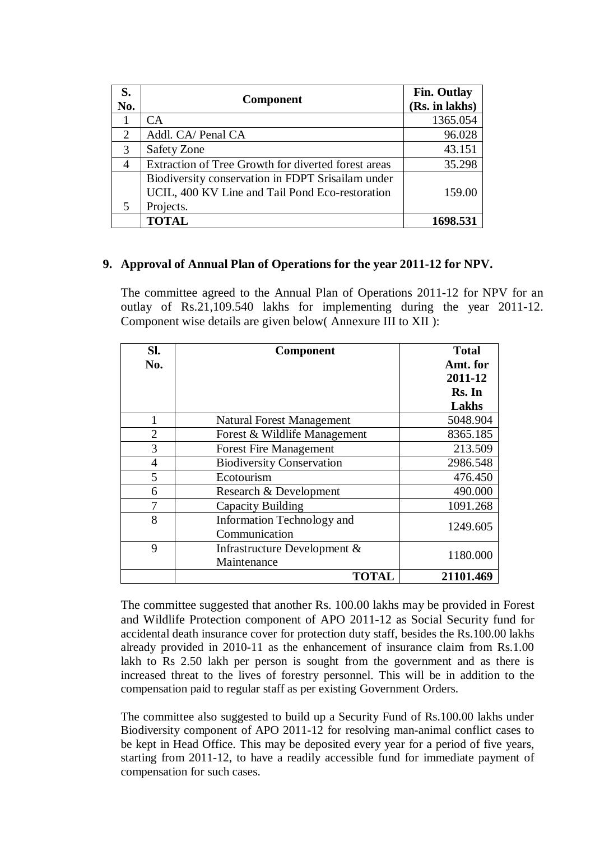| S.<br>No.                   | <b>Component</b>                                                                                                  | <b>Fin. Outlay</b><br>(Rs. in lakhs) |
|-----------------------------|-------------------------------------------------------------------------------------------------------------------|--------------------------------------|
|                             | <b>CA</b>                                                                                                         | 1365.054                             |
| $\mathcal{D}_{\mathcal{L}}$ | Addl. CA/ Penal CA                                                                                                | 96.028                               |
| 3                           | <b>Safety Zone</b>                                                                                                | 43.151                               |
| $\overline{4}$              | Extraction of Tree Growth for diverted forest areas                                                               | 35.298                               |
| 5                           | Biodiversity conservation in FDPT Srisailam under<br>UCIL, 400 KV Line and Tail Pond Eco-restoration<br>Projects. | 159.00                               |
|                             | <b>TOTAL</b>                                                                                                      | 1698.531                             |

### **9. Approval of Annual Plan of Operations for the year 2011-12 for NPV.**

The committee agreed to the Annual Plan of Operations 2011-12 for NPV for an outlay of Rs.21,109.540 lakhs for implementing during the year 2011-12. Component wise details are given below( Annexure III to XII ):

| Sl.<br>No.     | Component                                   | <b>Total</b><br>Amt. for<br>2011-12<br>Rs. In<br>Lakhs |
|----------------|---------------------------------------------|--------------------------------------------------------|
| 1              | <b>Natural Forest Management</b>            | 5048.904                                               |
| $\overline{2}$ | Forest & Wildlife Management                | 8365.185                                               |
| 3              | <b>Forest Fire Management</b>               | 213.509                                                |
| $\overline{4}$ | <b>Biodiversity Conservation</b>            | 2986.548                                               |
| 5              | Ecotourism                                  | 476.450                                                |
| 6              | Research & Development                      | 490.000                                                |
| 7              | Capacity Building                           | 1091.268                                               |
| 8              | Information Technology and<br>Communication | 1249.605                                               |
| 9              | Infrastructure Development &<br>Maintenance | 1180.000                                               |
|                | <b>TOTAL</b>                                | 21101.469                                              |

The committee suggested that another Rs. 100.00 lakhs may be provided in Forest and Wildlife Protection component of APO 2011-12 as Social Security fund for accidental death insurance cover for protection duty staff, besides the Rs.100.00 lakhs already provided in 2010-11 as the enhancement of insurance claim from Rs.1.00 lakh to Rs 2.50 lakh per person is sought from the government and as there is increased threat to the lives of forestry personnel. This will be in addition to the compensation paid to regular staff as per existing Government Orders.

The committee also suggested to build up a Security Fund of Rs.100.00 lakhs under Biodiversity component of APO 2011-12 for resolving man-animal conflict cases to be kept in Head Office. This may be deposited every year for a period of five years, starting from 2011-12, to have a readily accessible fund for immediate payment of compensation for such cases.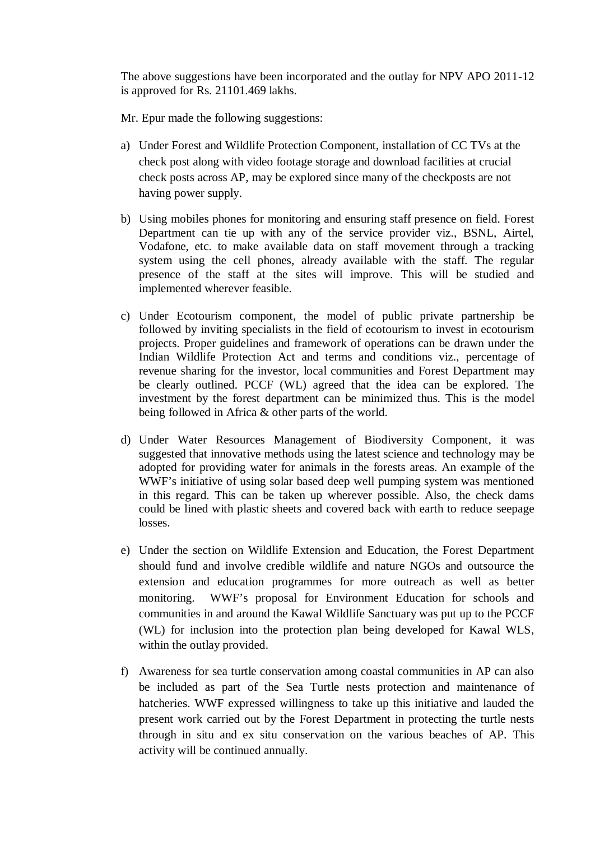The above suggestions have been incorporated and the outlay for NPV APO 2011-12 is approved for Rs. 21101.469 lakhs.

Mr. Epur made the following suggestions:

- a) Under Forest and Wildlife Protection Component, installation of CC TVs at the check post along with video footage storage and download facilities at crucial check posts across AP, may be explored since many of the checkposts are not having power supply.
- b) Using mobiles phones for monitoring and ensuring staff presence on field. Forest Department can tie up with any of the service provider viz., BSNL, Airtel, Vodafone, etc. to make available data on staff movement through a tracking system using the cell phones, already available with the staff. The regular presence of the staff at the sites will improve. This will be studied and implemented wherever feasible.
- c) Under Ecotourism component, the model of public private partnership be followed by inviting specialists in the field of ecotourism to invest in ecotourism projects. Proper guidelines and framework of operations can be drawn under the Indian Wildlife Protection Act and terms and conditions viz., percentage of revenue sharing for the investor, local communities and Forest Department may be clearly outlined. PCCF (WL) agreed that the idea can be explored. The investment by the forest department can be minimized thus. This is the model being followed in Africa & other parts of the world.
- d) Under Water Resources Management of Biodiversity Component, it was suggested that innovative methods using the latest science and technology may be adopted for providing water for animals in the forests areas. An example of the WWF's initiative of using solar based deep well pumping system was mentioned in this regard. This can be taken up wherever possible. Also, the check dams could be lined with plastic sheets and covered back with earth to reduce seepage losses.
- e) Under the section on Wildlife Extension and Education, the Forest Department should fund and involve credible wildlife and nature NGOs and outsource the extension and education programmes for more outreach as well as better monitoring. WWF's proposal for Environment Education for schools and communities in and around the Kawal Wildlife Sanctuary was put up to the PCCF (WL) for inclusion into the protection plan being developed for Kawal WLS, within the outlay provided.
- f) Awareness for sea turtle conservation among coastal communities in AP can also be included as part of the Sea Turtle nests protection and maintenance of hatcheries. WWF expressed willingness to take up this initiative and lauded the present work carried out by the Forest Department in protecting the turtle nests through in situ and ex situ conservation on the various beaches of AP. This activity will be continued annually.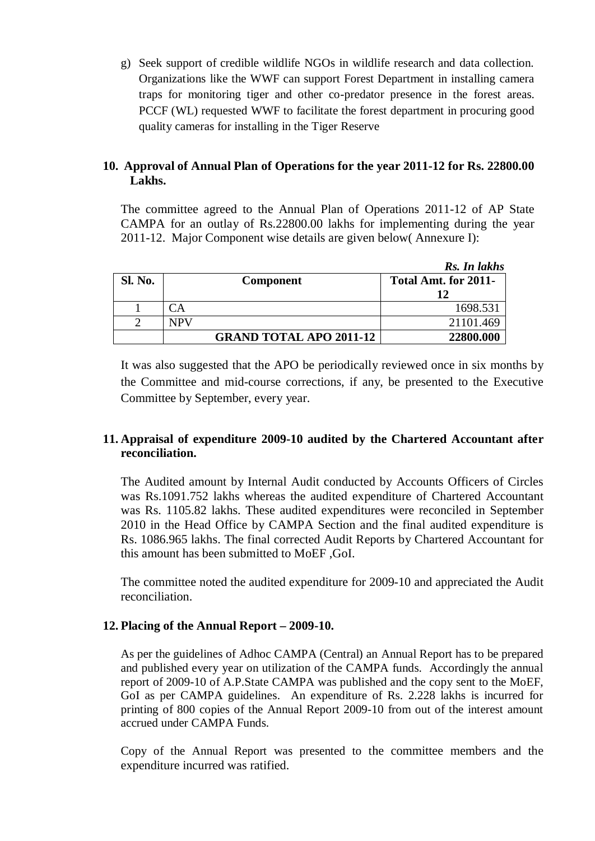g) Seek support of credible wildlife NGOs in wildlife research and data collection. Organizations like the WWF can support Forest Department in installing camera traps for monitoring tiger and other co-predator presence in the forest areas. PCCF (WL) requested WWF to facilitate the forest department in procuring good quality cameras for installing in the Tiger Reserve

### **10. Approval of Annual Plan of Operations for the year 2011-12 for Rs. 22800.00 Lakhs.**

The committee agreed to the Annual Plan of Operations 2011-12 of AP State CAMPA for an outlay of Rs.22800.00 lakhs for implementing during the year 2011-12. Major Component wise details are given below( Annexure I):

|                |                                | Rs. In lakhs         |
|----------------|--------------------------------|----------------------|
| <b>Sl. No.</b> | <b>Component</b>               | Total Amt. for 2011- |
|                |                                | 12                   |
|                | $\Delta$                       | 1698.531             |
|                | <b>NPV</b>                     | 21101.469            |
|                | <b>GRAND TOTAL APO 2011-12</b> | 22800.000            |

It was also suggested that the APO be periodically reviewed once in six months by the Committee and mid-course corrections, if any, be presented to the Executive Committee by September, every year.

### **11. Appraisal of expenditure 2009-10 audited by the Chartered Accountant after reconciliation.**

The Audited amount by Internal Audit conducted by Accounts Officers of Circles was Rs.1091.752 lakhs whereas the audited expenditure of Chartered Accountant was Rs. 1105.82 lakhs. These audited expenditures were reconciled in September 2010 in the Head Office by CAMPA Section and the final audited expenditure is Rs. 1086.965 lakhs. The final corrected Audit Reports by Chartered Accountant for this amount has been submitted to MoEF ,GoI.

The committee noted the audited expenditure for 2009-10 and appreciated the Audit reconciliation.

### **12. Placing of the Annual Report – 2009-10.**

As per the guidelines of Adhoc CAMPA (Central) an Annual Report has to be prepared and published every year on utilization of the CAMPA funds. Accordingly the annual report of 2009-10 of A.P.State CAMPA was published and the copy sent to the MoEF, GoI as per CAMPA guidelines. An expenditure of Rs. 2.228 lakhs is incurred for printing of 800 copies of the Annual Report 2009-10 from out of the interest amount accrued under CAMPA Funds.

Copy of the Annual Report was presented to the committee members and the expenditure incurred was ratified.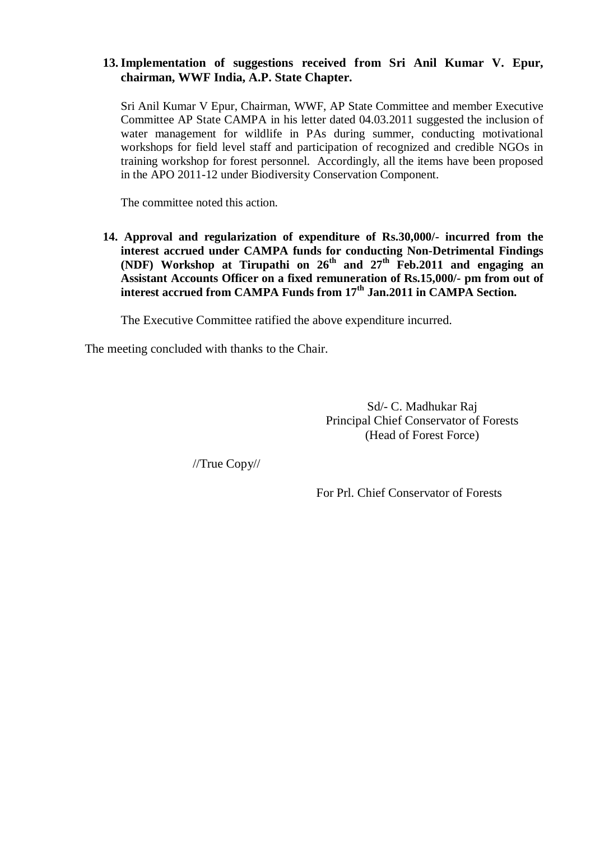### **13.Implementation of suggestions received from Sri Anil Kumar V. Epur, chairman, WWF India, A.P. State Chapter.**

Sri Anil Kumar V Epur, Chairman, WWF, AP State Committee and member Executive Committee AP State CAMPA in his letter dated 04.03.2011 suggested the inclusion of water management for wildlife in PAs during summer, conducting motivational workshops for field level staff and participation of recognized and credible NGOs in training workshop for forest personnel. Accordingly, all the items have been proposed in the APO 2011-12 under Biodiversity Conservation Component.

The committee noted this action.

**14. Approval and regularization of expenditure of Rs.30,000/- incurred from the interest accrued under CAMPA funds for conducting Non-Detrimental Findings (NDF) Workshop at Tirupathi on 26th and 27th Feb.2011 and engaging an Assistant Accounts Officer on a fixed remuneration of Rs.15,000/- pm from out of interest accrued from CAMPA Funds from 17th Jan.2011 in CAMPA Section.**

The Executive Committee ratified the above expenditure incurred.

The meeting concluded with thanks to the Chair.

Sd/- C. Madhukar Raj Principal Chief Conservator of Forests (Head of Forest Force)

//True Copy//

For Prl. Chief Conservator of Forests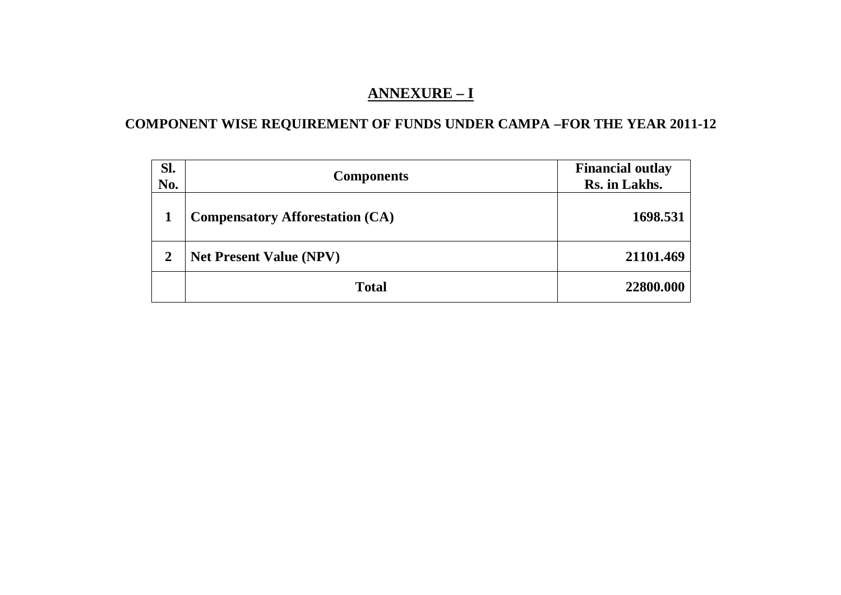## **ANNEXURE – I**

## **COMPONENT WISE REQUIREMENT OF FUNDS UNDER CAMPA –FOR THE YEAR 2011-12**

| Sl.<br>No.     | <b>Components</b>                      | <b>Financial outlay</b><br>Rs. in Lakhs. |
|----------------|----------------------------------------|------------------------------------------|
|                | <b>Compensatory Afforestation (CA)</b> | 1698.531                                 |
| $\overline{2}$ | <b>Net Present Value (NPV)</b>         | 21101.469                                |
|                | <b>Total</b>                           | 22800.000                                |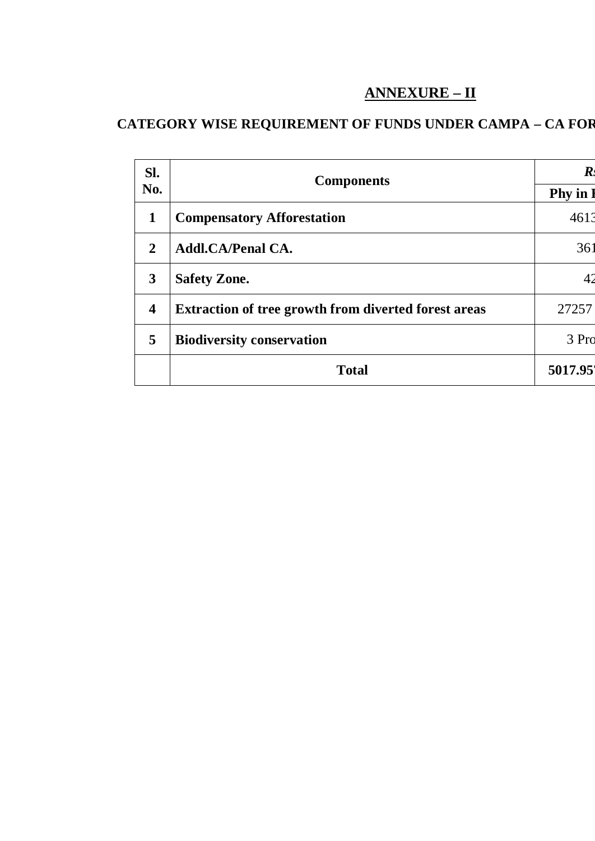## **ANNEXURE – II**

# **CATEGORY WISE REQUIREMENT OF FUNDS UNDER CAMPA – CA FOR**

| SI.                     | <b>Components</b>                                           | $\boldsymbol{R}$ |
|-------------------------|-------------------------------------------------------------|------------------|
| No.                     |                                                             | <b>Phy</b> in    |
| $\mathbf{1}$            | <b>Compensatory Afforestation</b>                           | 4613             |
| $\overline{2}$          | <b>Addl.CA/Penal CA.</b>                                    | 361              |
| 3                       | <b>Safety Zone.</b>                                         |                  |
| $\overline{\mathbf{4}}$ | <b>Extraction of tree growth from diverted forest areas</b> | 27257            |
| 5                       | <b>Biodiversity conservation</b>                            | 3 Pro            |
|                         | <b>Total</b>                                                | 5017.95          |
|                         |                                                             |                  |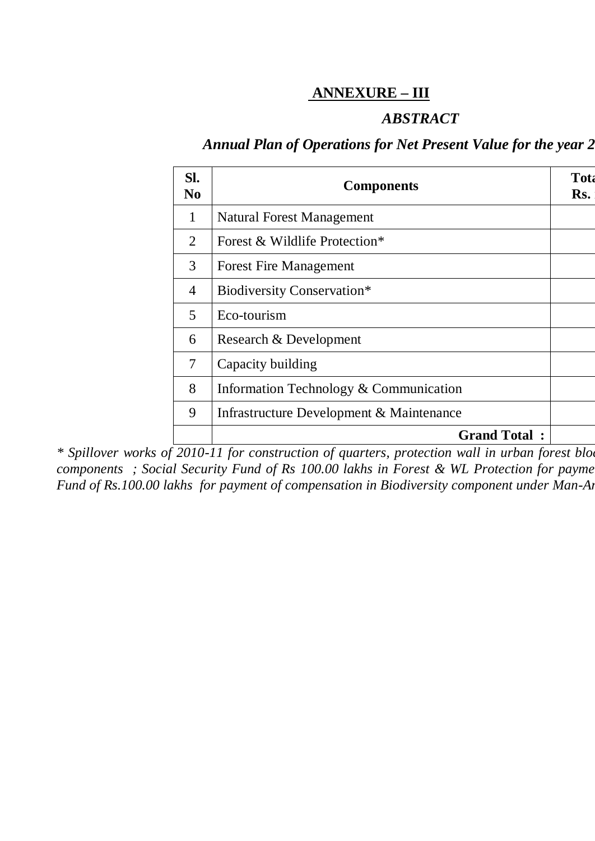## **ANNEXURE – III**

## *ABSTRACT*

### Annual Plan of Operations for Net Present Value for the year 2

| SI.<br>N <sub>0</sub> | <b>Components</b>                        | <b>Tota</b><br>Rs. |
|-----------------------|------------------------------------------|--------------------|
| $\mathbf{1}$          | <b>Natural Forest Management</b>         |                    |
| 2                     | Forest & Wildlife Protection*            |                    |
| 3                     | <b>Forest Fire Management</b>            |                    |
| $\overline{4}$        | Biodiversity Conservation*               |                    |
| $\mathfrak{S}$        | Eco-tourism                              |                    |
| 6                     | Research & Development                   |                    |
| 7                     | Capacity building                        |                    |
| 8                     | Information Technology & Communication   |                    |
| 9                     | Infrastructure Development & Maintenance |                    |
|                       | <b>Grand Total:</b>                      |                    |

*\* Spillover works of 2010-11 for construction of quarters, protection wall in urban forest blocks and biodiversity conservation components ; Social Security Fund of Rs 100.00 lakhs in Forest & WL Protection for payme Fund of Rs.100.00 lakhs for payment of compensation in Biodiversity component under Man-Animal Conflict are included*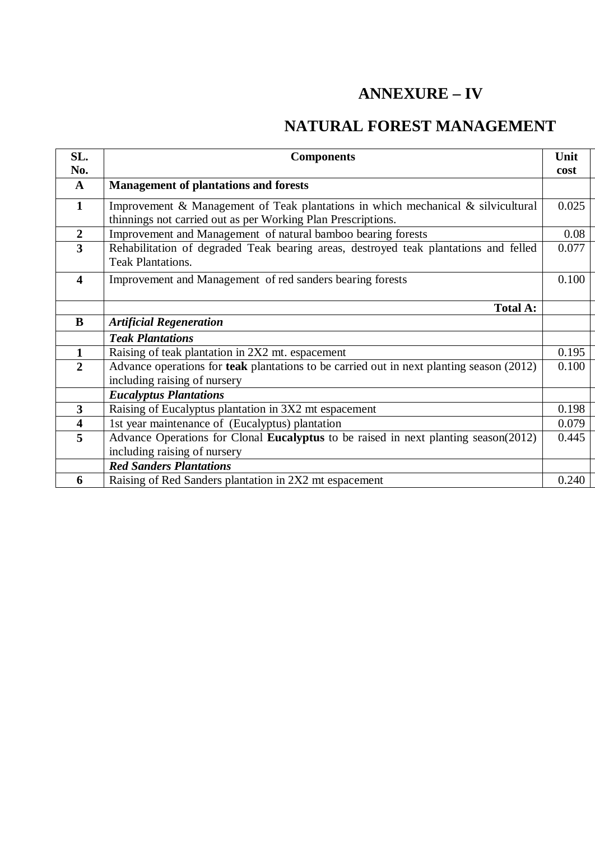# **ANNEXURE – IV**

# **NATURAL FOREST MANAGEMENT**

| SL.                     | <b>Components</b>                                                                        | Unit  |
|-------------------------|------------------------------------------------------------------------------------------|-------|
| No.                     |                                                                                          | cost  |
| $\mathbf{A}$            | <b>Management of plantations and forests</b>                                             |       |
| $\mathbf{1}$            | Improvement & Management of Teak plantations in which mechanical & silvicultural         | 0.025 |
|                         | thinnings not carried out as per Working Plan Prescriptions.                             |       |
| $\boldsymbol{2}$        | Improvement and Management of natural bamboo bearing forests                             | 0.08  |
| $\overline{\mathbf{3}}$ | Rehabilitation of degraded Teak bearing areas, destroyed teak plantations and felled     | 0.077 |
|                         | <b>Teak Plantations.</b>                                                                 |       |
| $\overline{\mathbf{4}}$ | Improvement and Management of red sanders bearing forests                                | 0.100 |
|                         |                                                                                          |       |
|                         | <b>Total A:</b>                                                                          |       |
| B                       | <b>Artificial Regeneration</b>                                                           |       |
|                         | <b>Teak Plantations</b>                                                                  |       |
| $\mathbf{1}$            | Raising of teak plantation in 2X2 mt. espacement                                         | 0.195 |
| $\overline{2}$          | Advance operations for teak plantations to be carried out in next planting season (2012) | 0.100 |
|                         | including raising of nursery                                                             |       |
|                         | <b>Eucalyptus Plantations</b>                                                            |       |
| $\overline{\mathbf{3}}$ | Raising of Eucalyptus plantation in 3X2 mt espacement                                    | 0.198 |
| $\overline{\mathbf{4}}$ | 1st year maintenance of (Eucalyptus) plantation                                          | 0.079 |
| 5                       | Advance Operations for Clonal Eucalyptus to be raised in next planting season(2012)      | 0.445 |
|                         | including raising of nursery                                                             |       |
|                         | <b>Red Sanders Plantations</b>                                                           |       |
| 6                       | Raising of Red Sanders plantation in 2X2 mt espacement                                   | 0.240 |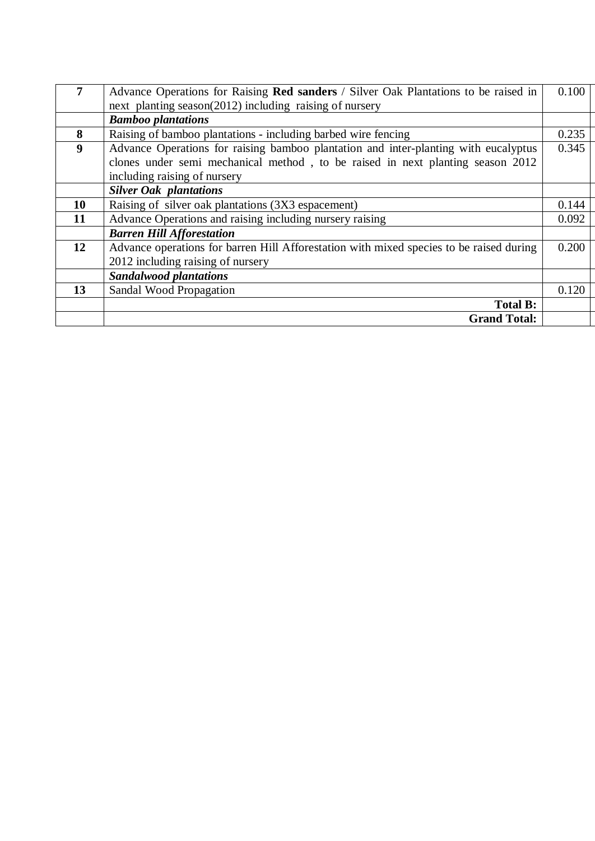| 7  | Advance Operations for Raising Red sanders / Silver Oak Plantations to be raised in     | 0.100 |
|----|-----------------------------------------------------------------------------------------|-------|
|    | next planting season(2012) including raising of nursery                                 |       |
|    | <b>Bamboo plantations</b>                                                               |       |
| 8  | Raising of bamboo plantations - including barbed wire fencing                           | 0.235 |
| 9  | Advance Operations for raising bamboo plantation and inter-planting with eucalyptus     | 0.345 |
|    | clones under semi mechanical method, to be raised in next planting season 2012          |       |
|    | including raising of nursery                                                            |       |
|    | <b>Silver Oak plantations</b>                                                           |       |
| 10 | Raising of silver oak plantations (3X3 espacement)                                      | 0.144 |
| 11 | Advance Operations and raising including nursery raising                                | 0.092 |
|    | <b>Barren Hill Afforestation</b>                                                        |       |
| 12 | Advance operations for barren Hill Afforestation with mixed species to be raised during | 0.200 |
|    | 2012 including raising of nursery                                                       |       |
|    | <b>Sandalwood plantations</b>                                                           |       |
| 13 | Sandal Wood Propagation                                                                 | 0.120 |
|    | <b>Total B:</b>                                                                         |       |
|    | <b>Grand Total:</b>                                                                     |       |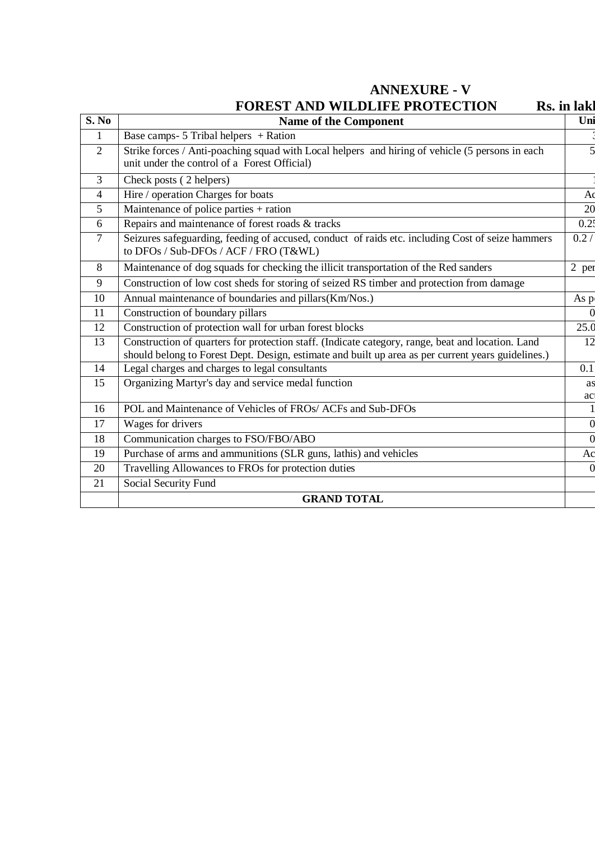**ANNEXURE - V**

# **FOREST AND WILDLIFE PROTECTION Rs. in lake**

| S. No          | <b>Name of the Component</b>                                                                                                                                                                            | Uni            |
|----------------|---------------------------------------------------------------------------------------------------------------------------------------------------------------------------------------------------------|----------------|
| 1              | Base camps- $5$ Tribal helpers + Ration                                                                                                                                                                 |                |
| 2              | Strike forces / Anti-poaching squad with Local helpers and hiring of vehicle (5 persons in each<br>unit under the control of a Forest Official)                                                         | 5              |
| 3              | Check posts (2 helpers)                                                                                                                                                                                 |                |
| $\overline{4}$ | Hire / operation Charges for boats                                                                                                                                                                      | A <sub>0</sub> |
| 5              | Maintenance of police parties + ration                                                                                                                                                                  | 20             |
| 6              | Repairs and maintenance of forest roads & tracks                                                                                                                                                        | 0.25           |
| $\overline{7}$ | Seizures safeguarding, feeding of accused, conduct of raids etc. including Cost of seize hammers<br>to DFOs / Sub-DFOs / ACF / FRO (T&WL)                                                               | 0.2/           |
| 8              | Maintenance of dog squads for checking the illicit transportation of the Red sanders                                                                                                                    | 2 per          |
| 9              | Construction of low cost sheds for storing of seized RS timber and protection from damage                                                                                                               |                |
| 10             | Annual maintenance of boundaries and pillars(Km/Nos.)                                                                                                                                                   | As p           |
| 11             | Construction of boundary pillars                                                                                                                                                                        | $\Omega$       |
| 12             | Construction of protection wall for urban forest blocks                                                                                                                                                 | 25.0           |
| 13             | Construction of quarters for protection staff. (Indicate category, range, beat and location. Land<br>should belong to Forest Dept. Design, estimate and built up area as per current years guidelines.) | 12             |
| 14             | Legal charges and charges to legal consultants                                                                                                                                                          | 0.1            |
| 15             | Organizing Martyr's day and service medal function                                                                                                                                                      | as<br>ac       |
| 16             | POL and Maintenance of Vehicles of FROs/ ACFs and Sub-DFOs                                                                                                                                              |                |
| 17             | Wages for drivers                                                                                                                                                                                       | $\overline{0}$ |
| 18             | Communication charges to FSO/FBO/ABO                                                                                                                                                                    | $\overline{0}$ |
| 19             | Purchase of arms and ammunitions (SLR guns, lathis) and vehicles                                                                                                                                        | Ac             |
| 20             | Travelling Allowances to FROs for protection duties                                                                                                                                                     |                |
| 21             | Social Security Fund                                                                                                                                                                                    |                |
|                | <b>GRAND TOTAL</b>                                                                                                                                                                                      |                |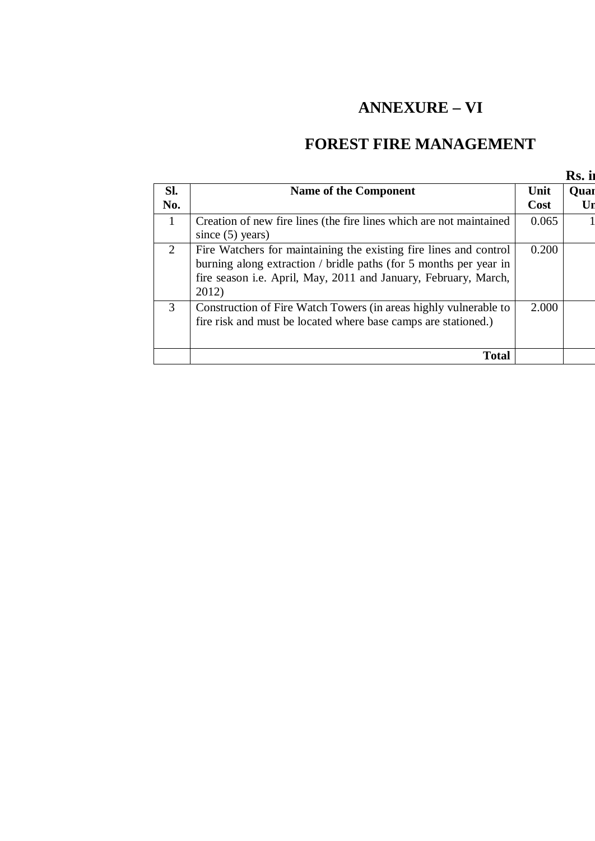# **ANNEXURE – VI**

## **FOREST FIRE MANAGEMENT**

|              |                                                                                                                                                                                                                    |              | Rs. ii     |
|--------------|--------------------------------------------------------------------------------------------------------------------------------------------------------------------------------------------------------------------|--------------|------------|
| SI.<br>No.   | Name of the Component                                                                                                                                                                                              | Unit<br>Cost | Quar<br>Ur |
| $\mathbf{1}$ | Creation of new fire lines (the fire lines which are not maintained<br>since $(5)$ years)                                                                                                                          | 0.065        |            |
| 2            | Fire Watchers for maintaining the existing fire lines and control<br>burning along extraction / bridle paths (for 5 months per year in<br>fire season i.e. April, May, 2011 and January, February, March,<br>2012) | 0.200        |            |
| 3            | Construction of Fire Watch Towers (in areas highly vulnerable to<br>fire risk and must be located where base camps are stationed.)                                                                                 | 2.000        |            |
|              | <b>Total</b>                                                                                                                                                                                                       |              |            |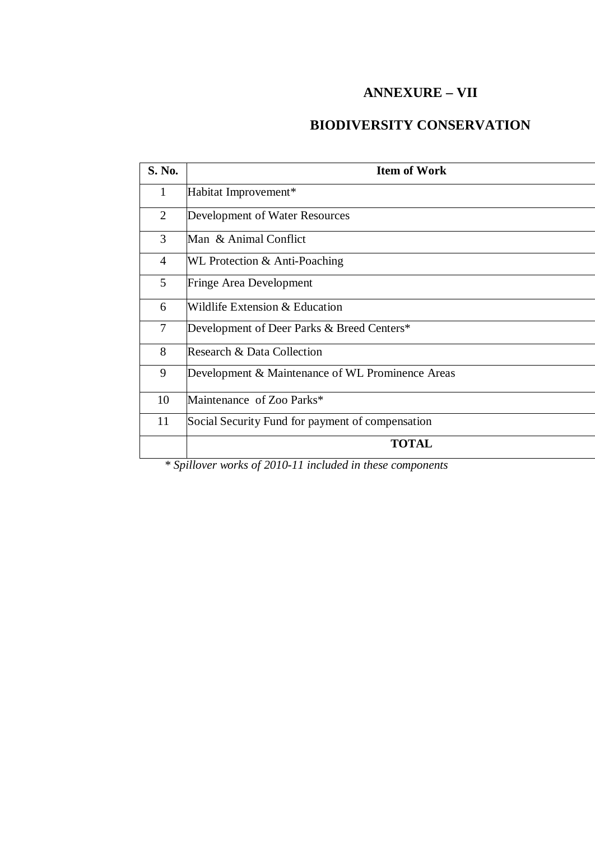### **ANNEXURE – VII**

## **BIODIVERSITY CONSERVATION**

| <b>S. No.</b> | <b>Item of Work</b>                              |
|---------------|--------------------------------------------------|
| 1             | Habitat Improvement*                             |
| 2             | Development of Water Resources                   |
| 3             | Man & Animal Conflict                            |
| 4             | WL Protection & Anti-Poaching                    |
| 5             | Fringe Area Development                          |
| 6             | Wildlife Extension & Education                   |
| 7             | Development of Deer Parks & Breed Centers*       |
| 8             | Research & Data Collection                       |
| 9             | Development & Maintenance of WL Prominence Areas |
| 10            | Maintenance of Zoo Parks*                        |
| 11            | Social Security Fund for payment of compensation |
|               | TOTAL                                            |

*\* Spillover works of 2010-11 included in these components*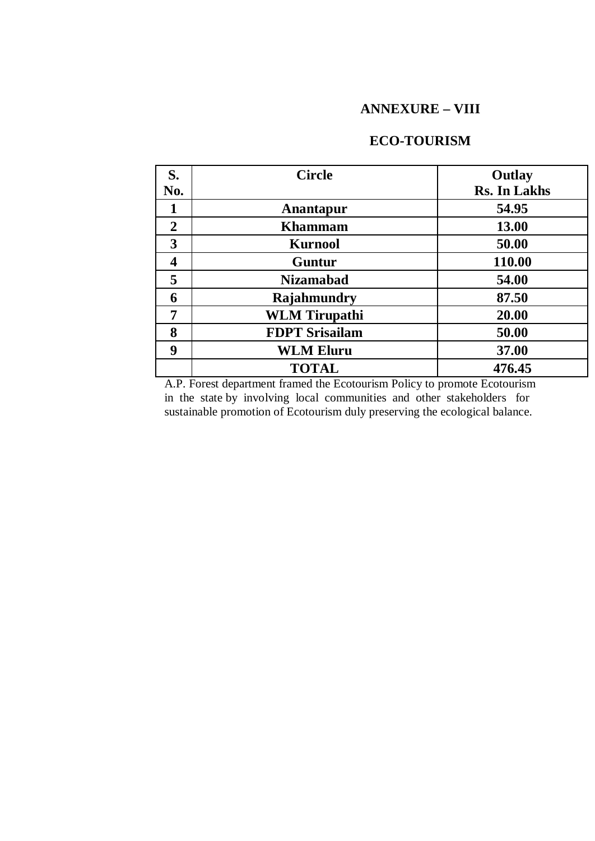### **ANNEXURE – VIII**

### **ECO-TOURISM**

| S.                      | <b>Circle</b>         | Outlay              |
|-------------------------|-----------------------|---------------------|
| No.                     |                       | <b>Rs. In Lakhs</b> |
| 1                       | Anantapur             | 54.95               |
| $\overline{2}$          | <b>Khammam</b>        | 13.00               |
| 3                       | <b>Kurnool</b>        | 50.00               |
| $\overline{\mathbf{4}}$ | <b>Guntur</b>         | 110.00              |
| 5                       | <b>Nizamabad</b>      | 54.00               |
| 6                       | Rajahmundry           | 87.50               |
| 7                       | <b>WLM</b> Tirupathi  | 20.00               |
| 8                       | <b>FDPT Srisailam</b> | 50.00               |
| 9                       | <b>WLM Eluru</b>      | 37.00               |
|                         | <b>TOTAL</b>          | 476.45              |

A.P. Forest department framed the Ecotourism Policy to promote Ecotourism in the state by involving local communities and other stakeholders for sustainable promotion of Ecotourism duly preserving the ecological balance.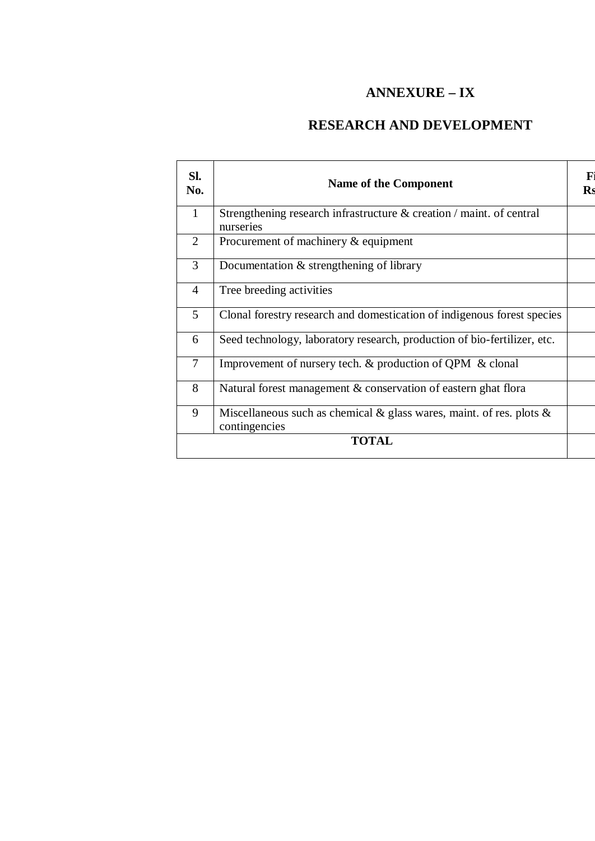## **ANNEXURE – IX**

## **RESEARCH AND DEVELOPMENT**

| SI.<br>No.     | Name of the Component                                                                    | F<br><b>Rs</b> |
|----------------|------------------------------------------------------------------------------------------|----------------|
| $\mathbf{1}$   | Strengthening research infrastructure $\&$ creation / maint. of central<br>nurseries     |                |
| $\overline{2}$ | Procurement of machinery $&$ equipment                                                   |                |
| 3              | Documentation $&$ strengthening of library                                               |                |
| $\overline{4}$ | Tree breeding activities                                                                 |                |
| 5              | Clonal forestry research and domestication of indigenous forest species                  |                |
| 6              | Seed technology, laboratory research, production of bio-fertilizer, etc.                 |                |
| $\overline{7}$ | Improvement of nursery tech. & production of QPM & clonal                                |                |
| 8              | Natural forest management & conservation of eastern ghat flora                           |                |
| 9              | Miscellaneous such as chemical & glass wares, maint. of res. plots $\&$<br>contingencies |                |
|                | <b>TOTAL</b>                                                                             |                |
|                |                                                                                          |                |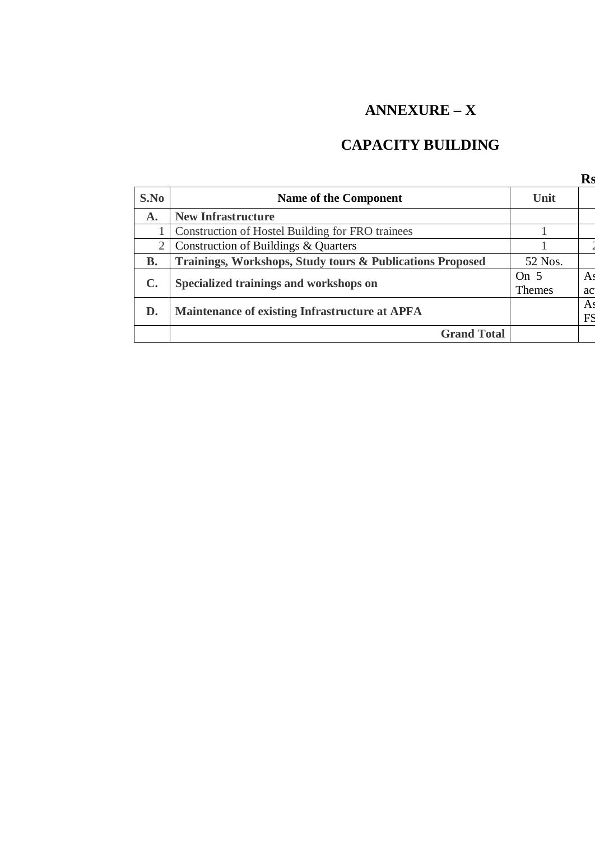# **ANNEXURE – X**

## **CAPACITY BUILDING**

|                |                                                           |               | Rs |
|----------------|-----------------------------------------------------------|---------------|----|
| S.No           | Name of the Component                                     | Unit          |    |
| $\mathbf{A}$ . | <b>New Infrastructure</b>                                 |               |    |
|                | Construction of Hostel Building for FRO trainees          |               |    |
| 2              | Construction of Buildings & Quarters                      |               |    |
| В.             | Trainings, Workshops, Study tours & Publications Proposed | 52 Nos.       |    |
|                |                                                           | On $5$        | As |
| $\mathbf{C}$ . | Specialized trainings and workshops on                    | <b>Themes</b> | ac |
| D.             | Maintenance of existing Infrastructure at APFA            |               | A: |
|                |                                                           |               | FS |
|                | <b>Grand Total</b>                                        |               |    |
|                |                                                           |               |    |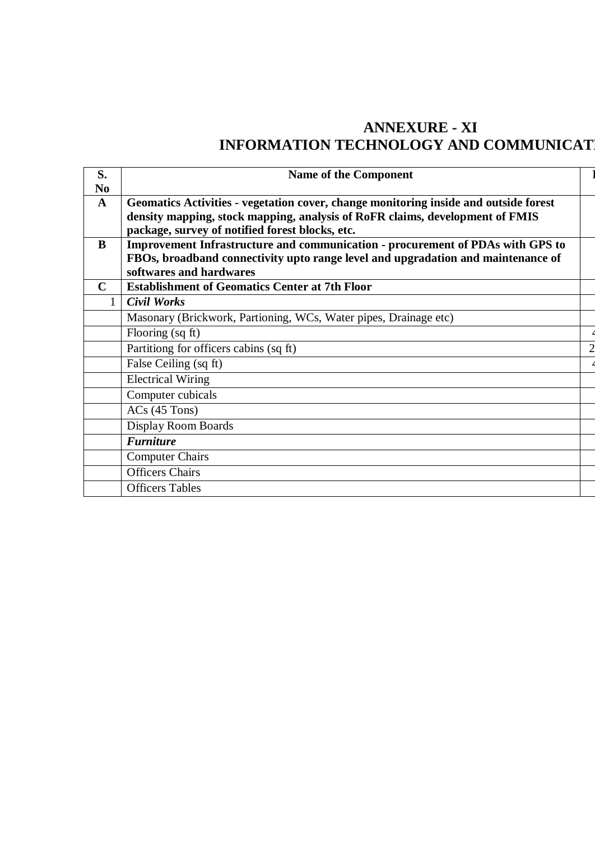## **ANNEXURE - XI INFORMATION TECHNOLOGY AND COMMUNICAT**

| S.<br>N <sub>0</sub> | <b>Name of the Component</b>                                                                                                                                                                                            |  |
|----------------------|-------------------------------------------------------------------------------------------------------------------------------------------------------------------------------------------------------------------------|--|
| $\mathbf{A}$         | Geomatics Activities - vegetation cover, change monitoring inside and outside forest<br>density mapping, stock mapping, analysis of RoFR claims, development of FMIS<br>package, survey of notified forest blocks, etc. |  |
| B                    | Improvement Infrastructure and communication - procurement of PDAs with GPS to                                                                                                                                          |  |
|                      | FBOs, broadband connectivity upto range level and upgradation and maintenance of                                                                                                                                        |  |
| C                    | softwares and hardwares<br><b>Establishment of Geomatics Center at 7th Floor</b>                                                                                                                                        |  |
| 1                    | <b>Civil Works</b>                                                                                                                                                                                                      |  |
|                      | Masonary (Brickwork, Partioning, WCs, Water pipes, Drainage etc)                                                                                                                                                        |  |
|                      | Flooring (sq ft)                                                                                                                                                                                                        |  |
|                      | Partitiong for officers cabins (sq ft)                                                                                                                                                                                  |  |
|                      | False Ceiling (sq ft)                                                                                                                                                                                                   |  |
|                      | <b>Electrical Wiring</b>                                                                                                                                                                                                |  |
|                      | Computer cubicals                                                                                                                                                                                                       |  |
|                      | $ACs$ (45 Tons)                                                                                                                                                                                                         |  |
|                      | Display Room Boards                                                                                                                                                                                                     |  |
|                      | <b>Furniture</b>                                                                                                                                                                                                        |  |
|                      | <b>Computer Chairs</b>                                                                                                                                                                                                  |  |
|                      | <b>Officers Chairs</b>                                                                                                                                                                                                  |  |
|                      | <b>Officers Tables</b>                                                                                                                                                                                                  |  |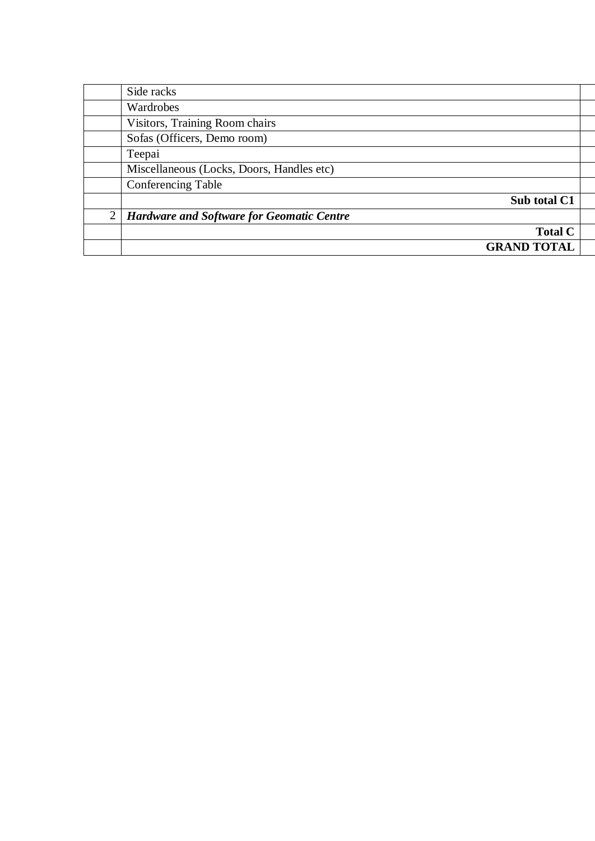|                | Side racks                                       |                    |  |
|----------------|--------------------------------------------------|--------------------|--|
|                | Wardrobes                                        |                    |  |
|                | Visitors, Training Room chairs                   |                    |  |
|                | Sofas (Officers, Demo room)                      |                    |  |
|                | Teepai                                           |                    |  |
|                | Miscellaneous (Locks, Doors, Handles etc)        |                    |  |
|                | <b>Conferencing Table</b>                        |                    |  |
|                |                                                  | Sub total C1       |  |
| $\overline{2}$ | <b>Hardware and Software for Geomatic Centre</b> |                    |  |
|                |                                                  | <b>Total C</b>     |  |
|                |                                                  | <b>GRAND TOTAL</b> |  |